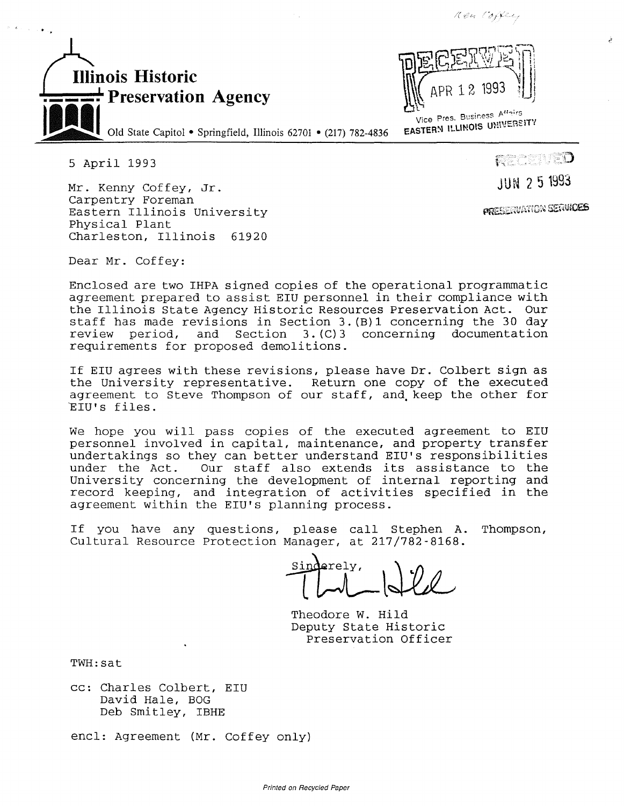

L'<br>Vice Pres. Business Attairs Vice Pres. Business Mean TV

*/(,c:~1---; / ~,-'\_.r\_.,.* 

5 April 1993

Mr. Kenny Coffey, Jr. Carpentry Foreman Eastern Illinois University Physical Plant Charleston, Illinois 61920

RECENED

JUN 2 5 1993

**PRESERVATION SERVICES** 

Dear Mr. Coffey:

Enclosed are two IHPA signed copies of the operational programmatic agreement prepared to assist EIU personnel in their compliance with the Illinois State Agency Historic Resources Preservation Act. Our staff has made revisions in Section 3.(B)l concerning the 30 day review period, and Section 3. (C)3 concerning documentation requirements for proposed demolitions.

If EIU agrees with these revisions, please have Dr. Colbert sign as the University representative. Return one copy of the executed agreement to Steve Thompson of our staff, and, keep the other for 'EIU's files.

We hope you will pass copies of the executed agreement to EIU personnel involved in capital, maintenance, and property transfer undertakings so they can better understand EIU's responsibilities Our staff also extends its assistance to the University concerning the development of internal reporting and record keeping, and integration of activities specified in the agreement within the EIU's planning process.

If you have any questions, please call Stephen A. Thompson, Cultural Resource Protection Manager, at 217/782-8168.

erely,

Theodore W. Hild Deputy State Historic Preservation Officer

TWH: sat

cc: Charles Colbert, EIU David Hale, BOG Deb Smitley, IBHE

encl: Agreement (Mr. Coffey only)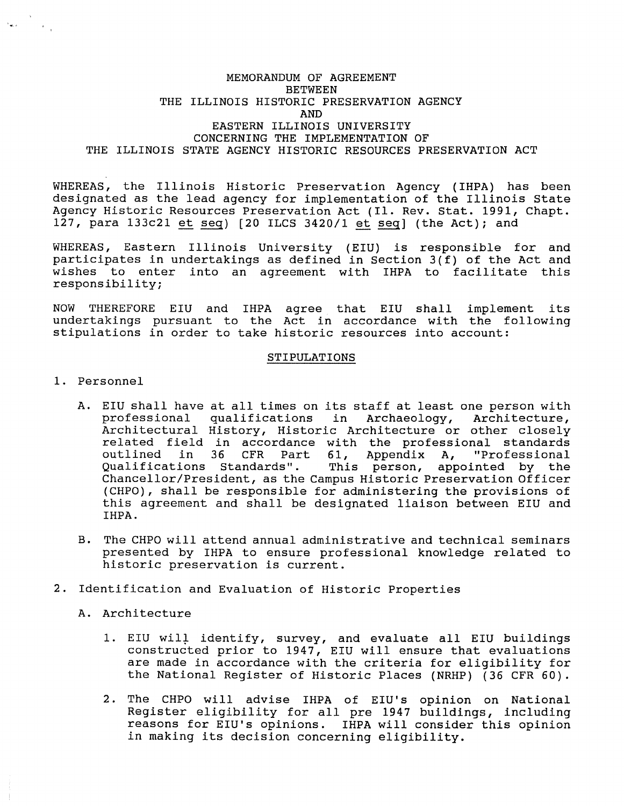## MEMORANDUM OF AGREEMENT **BETWEEN** THE ILLINOIS HISTORIC PRESERVATION AGENCY AND EASTERN ILLINOIS UNIVERSITY CONCERNING THE IMPLEMENTATION OF THE ILLINOIS STATE AGENCY HISTORIC RESOURCES PRESERVATION ACT

WHEREAS, the Illinois Historic Preservation Agency ( IHPA) has been designated as the lead agency for implementation of the Illinois State Agency Historic Resources Preservation Act (Il. Rev. Stat. 1991, Chapt. 127, para  $133c21$  et seq) [20 ILCS  $3420/1$  et seq] (the Act); and

WHEREAS, Eastern Illinois University (EIU) is responsible for and participates in undertakings as defined in Section 3(f) of the Act and wishes to enter into an agreement with IHPA to facilitate this responsibility;

NOW THEREFORE EIU and IHPA agree that EIU shall implement its undertakings pursuant to the Act in accordance with the following stipulations in order to take historic resources into account:

## STIPULATIONS

1. Personnel

 $\mathcal{F}_{\text{max}}$  .

- A. EIU shall have at all times on its staff at least one person with professional qualifications in Archaeology, Architecture, Architectural History, Historic Architecture or other closely related field in accordance with the professional standards<br>outlined in 36 CFR Part 61, Appendix A, "Professional outlined in 36 CFR Part 61, Appendix A,<br>Qualifications Standards". This person, app This person, appointed by the Chancellor/President, as the Campus Historic Preservation Officer (CHPO}, shall be responsible for administering the provisions of this agreement and shall be designated liaison between EIU and IHPA.
- B. The CHPO will attend annual administrative and technical seminars presented by IHPA to ensure professional knowledge related to historic preservation is current.
- 2. Identification and Evaluation of Historic Properties
	- A. Architecture
		- 1. EIU will identify, survey, and evaluate all EIU buildings constructed prior to 1947, EIU will ensure that evaluations are made in accordance with the criteria for eligibility for the National Register of Historic Places (NRHP) (36 CFR 60).
		- 2. The CHPO will advise IHPA of EIU's opinion on National Register eligibility for all pre 1947 buildings, including reasons for EIU's opinions. IHPA will consider this opinion in making its decision concerning eligibility.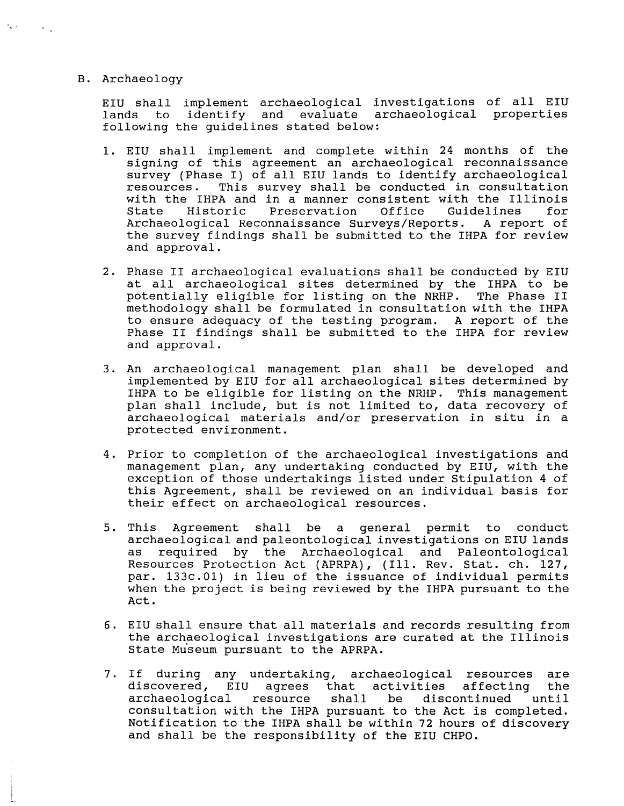## B. Archaeology

 $\mathcal{F}_{\bullet}(\mathcal{F})$  , and  $\mathcal{F}_{\bullet}$ 

EIU shall implement archaeological investigations of all EIU lands to identify and evaluate archaeological properties following the guidelines stated below:

- 1. EIU shall implement and complete within 24 months of the signing of this agreement an archaeological reconnaissance survey (Phase I) of all EIU lands to identify archaeological resources. This survey shall be conducted in consultation This survey shall be conducted in consultation with the IHPA and in a manner consistent with the Illinois State Historic Preservation Office Guidelines for State Historic Preservation Office Guidelines for<br>Archaeological Reconnaissance-Surveys/Reports. A report of the survey findings shall be submitted to the IHPA for review and approval.
- 2. Phase II archaeological evaluations shall be conducted by EIU at all archaeological sites determined by the IHPA to be potentially eligible for listing on the NRHP. The Phase II potentially eligible for listing on the NRHP. methodology shall be formulated in consultation with the IHPA to ensure adequacy of the testing program. A report of the Phase II findings shall be submitted to the IHPA for review and approval.
- 3. An archaeological management plan shall be developed and implemented by EIU for all archaeological sites determined by IHPA to be eligible for listing on the NRHP. This management plan shall include, but is not limited to, data recovery of archaeological materials and/or preservation in situ in a protected environment.
- 4. Prior to completion of the archaeological investigations and management plan, any undertaking conducted by EIU, with the exception of those undertakings listed under Stipulation 4 of this Agreement, shall be reviewed on an individual basis for their effect on archaeological resources.
- 5. This Agreement shall be a general permit to conduct archaeological and paleontological investigations on EIU lands as required by the Archaeological and Paleontological Resources Protection Act (APRPA), (Ill. Rev. Stat. ch. 127, par. 133c.0l) in lieu of the issuance of individual permits when the project is being reviewed by the IHPA pursuant to the Act.
- 6. EIU shall ensure that all materials and records resulting from the archaeological investigations are curated at the Illinois State Museum pursuant to the APRPA.
- 7. If during any undertaking, archaeological resources are discovered, EIU agrees that activities affecting the<br>archaeological resource shall be discontinued until  $r$ esource shall consultation with the IHPA pursuant to the Act is completed. Notification to the IHPA shall be within 72 hours of discovery and shall be the responsibility of the EIU CHPO.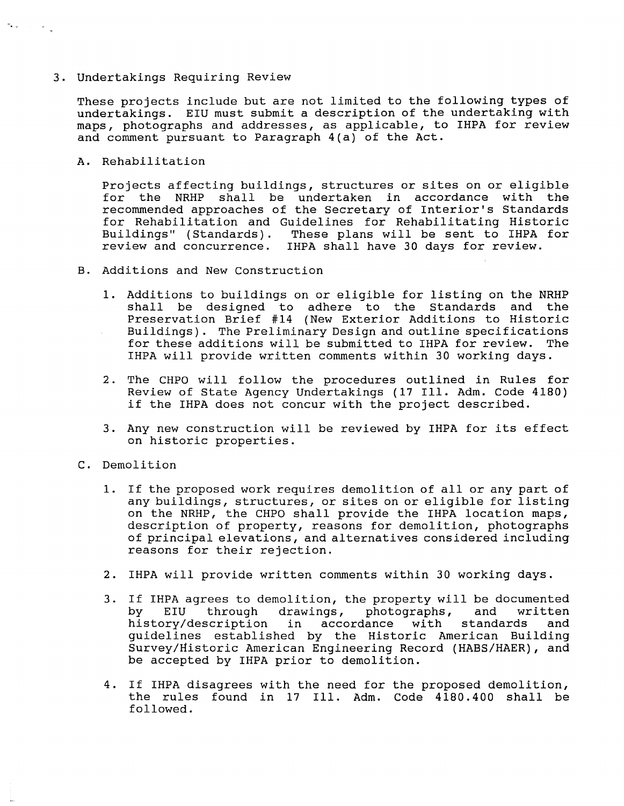## 3. Undertakings Requiring Review

These projects include but are not limited to the following types of undertakings. EIU must submit a description of the undertaking with maps, photographs and addresses, as applicable, to IHPA for review and comment pursuant to Paragraph 4(a) of the Act.

A. Rehabilitation

 $\label{eq:3.1} \sigma_{\bullet, \omega} = \left\{ \begin{array}{cc} \alpha_{\bullet, \omega} & \alpha_{\bullet, \omega} \\ \alpha_{\bullet, \omega} & \alpha_{\bullet, \omega} \end{array} \right.$ 

Projects affecting buildings, structures or sites on or eligible for the NRHP shall be undertaken in accordance with the recommended approaches of the Secretary of Interior's Standards for Rehabilitation and Guidelines for Rehabilitating Historic Buildings" (Standards) . These plans will be sent to IHPA for review and concurrence. IHPA shall have 30 days for review.

- B. Additions and New Construction
	- 1. Additions to buildings on or eligible for listing on the NRHP shall be designed to adhere to the Standards and the Preservation Brief #14 (New Exterior Additions to Historic Buildings). The Preliminary Design and outline specifications for these additions will be submitted to IHPA for review. The IHPA will provide written comments within 30 working days.
	- 2. The CHPO will follow the procedures outlined in Rules for Review of State Agency Undertakings (17 Ill. Adm. Code 4180) if the IHPA does not concur with the project described.
	- 3. Any new construction will be reviewed by IHPA for its effect on historic properties.
- C. Demolition
	- 1. If the proposed work requires demolition of all or any part of any buildings, structures, or sites on or eligible for listing on the NRHP, the CHPO shall provide the IHPA location maps, description of property, reasons for demolition, photographs of principal elevations, and alternatives considered including reasons for their rejection.
	- 2. IHPA will provide written comments within 30 working days.
	- 3. If IHPA agrees to demolition, the property will be documented<br>by EIU through drawings, photographs, and written through drawings, photographs,<br>scription in accordance with history/description in accordance with standards and guidelines established by the Historic American Building Survey/Historic American Engineering Record (HABS/HAER), and be accepted by IHPA prior to demolition.
	- 4. If IHPA disagrees with the need for the proposed demolition, the rules found in 17 Ill. Adm. Code 4180.400 shall be followed.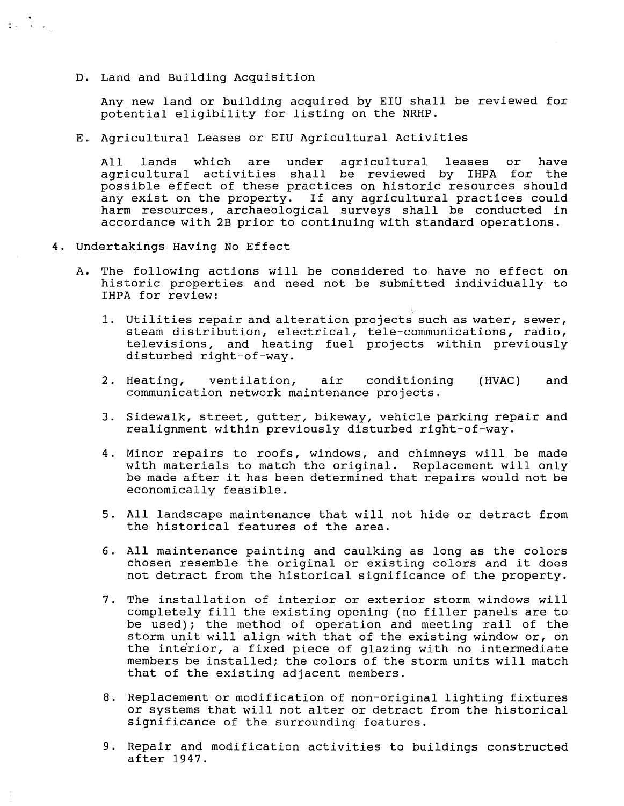D. Land and Building Acquisition

 $\frac{1}{2} \left( \frac{1}{2} \right) \left( \frac{1}{2} \right) \left( \frac{1}{2} \right) \left( \frac{1}{2} \right)$ 

Any new land or building acquired by EIU shall be reviewed for potential eligibility for listing on the NRHP.

E. Agricultural Leases or EIU Agricultural Activities

All lands which are under agricultural leases or have agricultural activities shall be reviewed by IHPA for the possible effect of these practices on historic resources should any exist on the property. If any agricultural practices could harm resources, archaeological surveys shall be conducted in accordance with 2B prior to continuing with standard operations.

- 4. Undertakings Having No Effect
	- A. The following actions will be considered to have no effect on historic properties and need not be submitted individually to IHPA for review:
		- 1. Utilities repair and alteration projects such as water, sewer, steam distribution, electrical, tele-communications, radio, televisions, and heating fuel projects within previously disturbed right-of-way.
		- 2. Heating, ventilation, air conditioning communication network maintenance projects. **(HVAC)** and
		- 3. Sidewalk, street, gutter, bikeway, vehicle parking repair and realignment within previously disturbed right-of-way.
		- 4. Minor repairs to roofs, windows, and chimneys will be made with materials to match the original. Replacement will only be made after it has been determined that repairs would not be economically feasible.
		- 5. All landscape maintenance that will not hide or detract from the historical features of the area.
		- 6. All maintenance painting and caulking as long as the colors chosen resemble the original or existing colors and it does not detract from the historical significance of the property.
		- 7. The installation of interior or exterior storm windows will completely fill the existing opening (no filler panels are to be used); the method of operation and meeting rail of the storm unit will align with that of the existing window or, on the interior, a fixed piece of glazing with no intermediate members be installed; the colors of the storm units will match that of the existing adjacent members.
		- 8. Replacement or modification of non-original lighting fixtures or systems that will not alter or detract from the historical significance of the surrounding features.
		- 9. Repair and modification activities to buildings constructed after 1947.